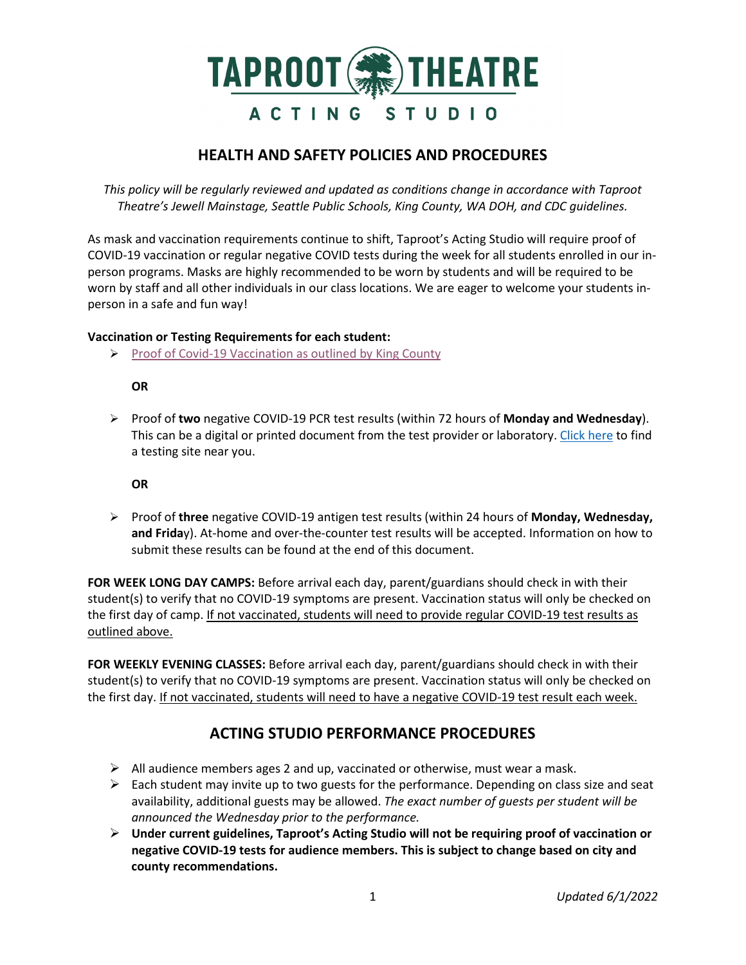

## **HEALTH AND SAFETY POLICIES AND PROCEDURES**

*This policy will be regularly reviewed and updated as conditions change in accordance with Taproot Theatre's Jewell Mainstage, Seattle Public Schools, King County, WA DOH, and CDC guidelines.*

As mask and vaccination requirements continue to shift, Taproot's Acting Studio will require proof of COVID-19 vaccination or regular negative COVID tests during the week for all students enrolled in our inperson programs. Masks are highly recommended to be worn by students and will be required to be worn by staff and all other individuals in our class locations. We are eager to welcome your students inperson in a safe and fun way!

### **Vaccination or Testing Requirements for each student:**

 $\triangleright$  [Proof of Covid-19 Vaccination as outlined by King County](https://kingcounty.gov/depts/health/covid-19/current-guidance/%7E/media/depts/health/communicable-diseases/documents/C19/vaccine-verification-8x11-keep-each-other-safe-EN.ashx)

### **OR**

 Proof of **two** negative COVID-19 PCR test results (within 72 hours of **Monday and Wednesday**). This can be a digital or printed document from the test provider or laboratory. [Click here](https://www.doh.wa.gov/Emergencies/COVID19/TestingforCOVID19/TestingLocations) to find a testing site near you.

**OR**

 Proof of **three** negative COVID-19 antigen test results (within 24 hours of **Monday, Wednesday, and Frida**y). At-home and over-the-counter test results will be accepted. Information on how to submit these results can be found at the end of this document.

**FOR WEEK LONG DAY CAMPS:** Before arrival each day, parent/guardians should check in with their student(s) to verify that no COVID-19 symptoms are present. Vaccination status will only be checked on the first day of camp. If not vaccinated, students will need to provide regular COVID-19 test results as outlined above.

**FOR WEEKLY EVENING CLASSES:** Before arrival each day, parent/guardians should check in with their student(s) to verify that no COVID-19 symptoms are present. Vaccination status will only be checked on the first day. If not vaccinated, students will need to have a negative COVID-19 test result each week.

# **ACTING STUDIO PERFORMANCE PROCEDURES**

- $\triangleright$  All audience members ages 2 and up, vaccinated or otherwise, must wear a mask.
- $\triangleright$  Each student may invite up to two guests for the performance. Depending on class size and seat availability, additional guests may be allowed. *The exact number of guests per student will be announced the Wednesday prior to the performance.*
- **Under current guidelines, Taproot's Acting Studio will not be requiring proof of vaccination or negative COVID-19 tests for audience members. This is subject to change based on city and county recommendations.**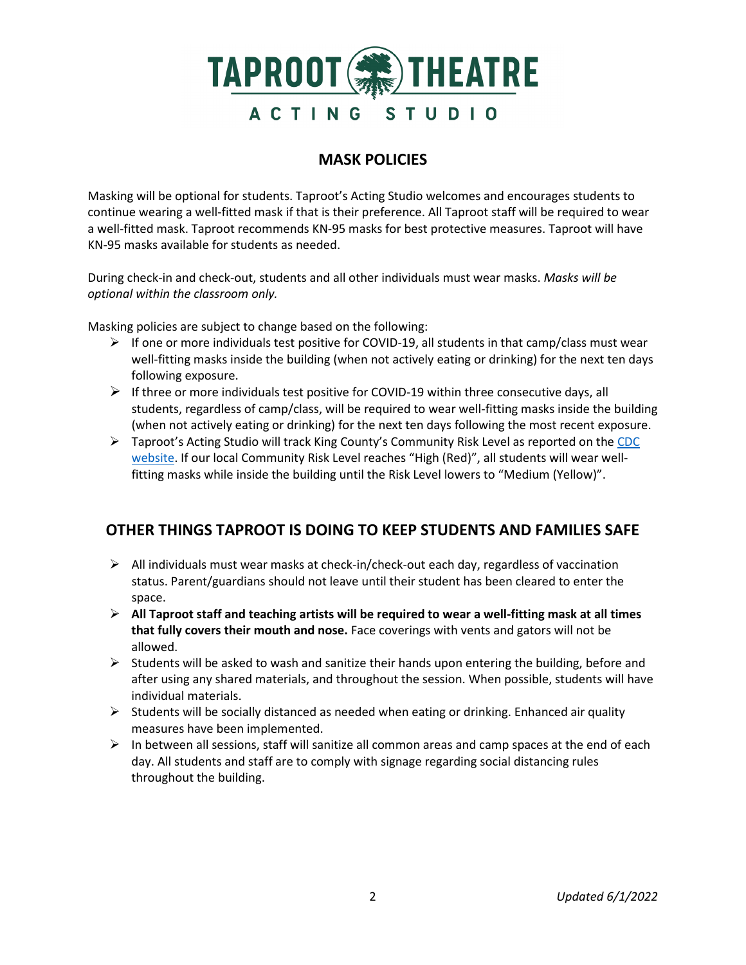

## **MASK POLICIES**

Masking will be optional for students. Taproot's Acting Studio welcomes and encourages students to continue wearing a well-fitted mask if that is their preference. All Taproot staff will be required to wear a well-fitted mask. Taproot recommends KN-95 masks for best protective measures. Taproot will have KN-95 masks available for students as needed.

During check-in and check-out, students and all other individuals must wear masks. *Masks will be optional within the classroom only.*

Masking policies are subject to change based on the following:

- $\triangleright$  If one or more individuals test positive for COVID-19, all students in that camp/class must wear well-fitting masks inside the building (when not actively eating or drinking) for the next ten days following exposure.
- $\triangleright$  If three or more individuals test positive for COVID-19 within three consecutive days, all students, regardless of camp/class, will be required to wear well-fitting masks inside the building (when not actively eating or drinking) for the next ten days following the most recent exposure.
- $\triangleright$  Taproot's Acting Studio will track King County's Community Risk Level as reported on the CDC [website.](https://www.cdc.gov/coronavirus/2019-ncov/your-health/covid-by-county.html) If our local Community Risk Level reaches "High (Red)", all students will wear wellfitting masks while inside the building until the Risk Level lowers to "Medium (Yellow)".

# **OTHER THINGS TAPROOT IS DOING TO KEEP STUDENTS AND FAMILIES SAFE**

- $\triangleright$  All individuals must wear masks at check-in/check-out each day, regardless of vaccination status. Parent/guardians should not leave until their student has been cleared to enter the space.
- **All Taproot staff and teaching artists will be required to wear a well-fitting mask at all times that fully covers their mouth and nose.** Face coverings with vents and gators will not be allowed.
- $\triangleright$  Students will be asked to wash and sanitize their hands upon entering the building, before and after using any shared materials, and throughout the session. When possible, students will have individual materials.
- $\triangleright$  Students will be socially distanced as needed when eating or drinking. Enhanced air quality measures have been implemented.
- $\triangleright$  In between all sessions, staff will sanitize all common areas and camp spaces at the end of each day. All students and staff are to comply with signage regarding social distancing rules throughout the building.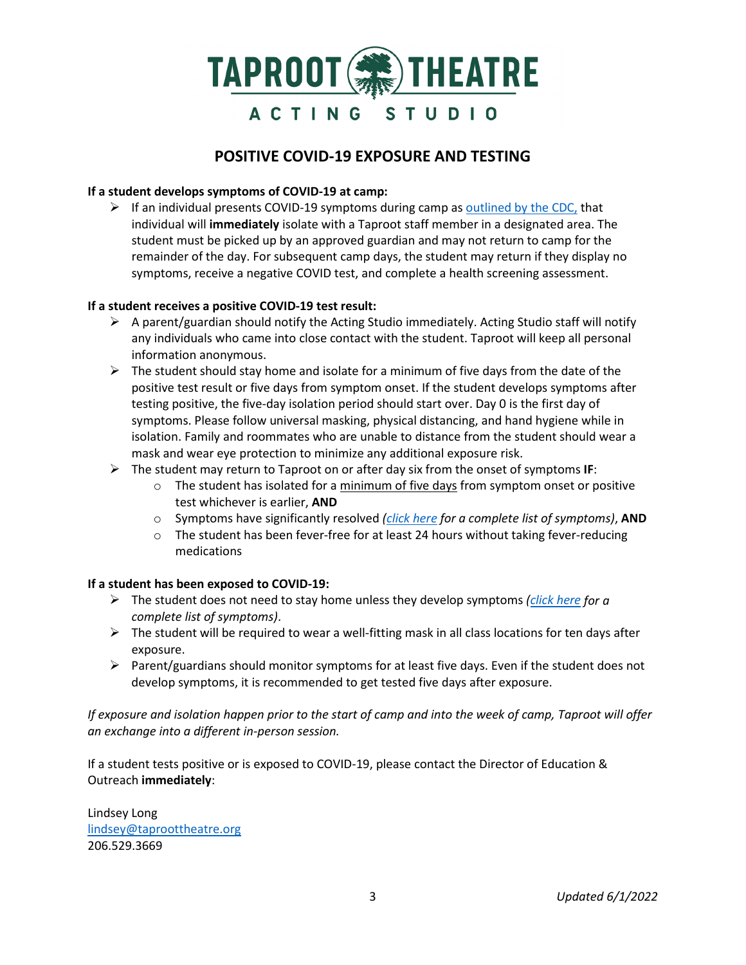

## **POSITIVE COVID-19 EXPOSURE AND TESTING**

### **If a student develops symptoms of COVID-19 at camp:**

 $\triangleright$  If an individual presents COVID-19 symptoms during camp a[s outlined by the CDC,](https://www.cdc.gov/coronavirus/2019-ncov/symptoms-testing/symptoms.html) that individual will **immediately** isolate with a Taproot staff member in a designated area. The student must be picked up by an approved guardian and may not return to camp for the remainder of the day. For subsequent camp days, the student may return if they display no symptoms, receive a negative COVID test, and complete a health screening assessment.

#### **If a student receives a positive COVID-19 test result:**

- $\triangleright$  A parent/guardian should notify the Acting Studio immediately. Acting Studio staff will notify any individuals who came into close contact with the student. Taproot will keep all personal information anonymous.
- $\triangleright$  The student should stay home and isolate for a minimum of five days from the date of the positive test result or five days from symptom onset. If the student develops symptoms after testing positive, the five-day isolation period should start over. Day 0 is the first day of symptoms. Please follow universal masking, physical distancing, and hand hygiene while in isolation. Family and roommates who are unable to distance from the student should wear a mask and wear eye protection to minimize any additional exposure risk.
- The student may return to Taproot on or after day six from the onset of symptoms **IF**:
	- $\circ$  The student has isolated for a minimum of five days from symptom onset or positive test whichever is earlier, **AND**
	- o Symptoms have significantly resolved *[\(click here](https://www.cdc.gov/coronavirus/2019-ncov/symptoms-testing/symptoms.html) for a complete list of symptoms)*, **AND**
	- $\circ$  The student has been fever-free for at least 24 hours without taking fever-reducing medications

### **If a student has been exposed to COVID-19:**

- The student does not need to stay home unless they develop symptoms *[\(click here](https://www.cdc.gov/coronavirus/2019-ncov/symptoms-testing/symptoms.html) for a complete list of symptoms)*.
- $\triangleright$  The student will be required to wear a well-fitting mask in all class locations for ten days after exposure.
- $\triangleright$  Parent/guardians should monitor symptoms for at least five days. Even if the student does not develop symptoms, it is recommended to get tested five days after exposure.

*If exposure and isolation happen prior to the start of camp and into the week of camp, Taproot will offer an exchange into a different in-person session.* 

If a student tests positive or is exposed to COVID-19, please contact the Director of Education & Outreach **immediately**:

Lindsey Long [lindsey@taproottheatre.org](mailto:lindsey@taproottheatre.org) 206.529.3669